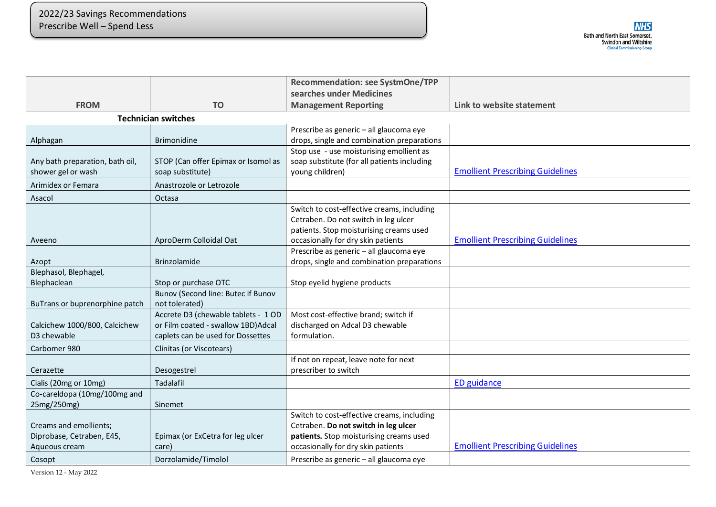P

|                                 |                                     | <b>Recommendation: see SystmOne/TPP</b>                                               |                                         |
|---------------------------------|-------------------------------------|---------------------------------------------------------------------------------------|-----------------------------------------|
|                                 |                                     | searches under Medicines                                                              |                                         |
| <b>FROM</b>                     | <b>TO</b>                           | <b>Management Reporting</b>                                                           | Link to website statement               |
|                                 | <b>Technician switches</b>          |                                                                                       |                                         |
|                                 |                                     | Prescribe as generic - all glaucoma eye                                               |                                         |
| Alphagan                        | <b>Brimonidine</b>                  | drops, single and combination preparations                                            |                                         |
|                                 |                                     | Stop use - use moisturising emollient as                                              |                                         |
| Any bath preparation, bath oil, | STOP (Can offer Epimax or Isomol as | soap substitute (for all patients including                                           |                                         |
| shower gel or wash              | soap substitute)                    | young children)                                                                       | <b>Emollient Prescribing Guidelines</b> |
| Arimidex or Femara              | Anastrozole or Letrozole            |                                                                                       |                                         |
| Asacol                          | Octasa                              |                                                                                       |                                         |
|                                 |                                     | Switch to cost-effective creams, including                                            |                                         |
|                                 |                                     | Cetraben. Do not switch in leg ulcer                                                  |                                         |
|                                 |                                     | patients. Stop moisturising creams used                                               |                                         |
| Aveeno                          | AproDerm Colloidal Oat              | occasionally for dry skin patients                                                    | <b>Emollient Prescribing Guidelines</b> |
| Azopt                           | Brinzolamide                        | Prescribe as generic - all glaucoma eye<br>drops, single and combination preparations |                                         |
| Blephasol, Blephagel,           |                                     |                                                                                       |                                         |
| Blephaclean                     | Stop or purchase OTC                | Stop eyelid hygiene products                                                          |                                         |
|                                 | Bunov (Second line: Butec if Bunov  |                                                                                       |                                         |
| BuTrans or buprenorphine patch  | not tolerated)                      |                                                                                       |                                         |
|                                 | Accrete D3 (chewable tablets - 1 OD | Most cost-effective brand; switch if                                                  |                                         |
| Calcichew 1000/800, Calcichew   | or Film coated - swallow 1BD) Adcal | discharged on Adcal D3 chewable                                                       |                                         |
| D3 chewable                     | caplets can be used for Dossettes   | formulation.                                                                          |                                         |
| Carbomer 980                    | Clinitas (or Viscotears)            |                                                                                       |                                         |
|                                 |                                     | If not on repeat, leave note for next                                                 |                                         |
| Cerazette                       | Desogestrel                         | prescriber to switch                                                                  |                                         |
| Cialis (20mg or 10mg)           | Tadalafil                           |                                                                                       | <b>ED</b> guidance                      |
| Co-careldopa (10mg/100mg and    |                                     |                                                                                       |                                         |
| 25mg/250mg)                     | Sinemet                             |                                                                                       |                                         |
|                                 |                                     | Switch to cost-effective creams, including                                            |                                         |
| Creams and emollients;          |                                     | Cetraben. Do not switch in leg ulcer                                                  |                                         |
| Diprobase, Cetraben, E45,       | Epimax (or ExCetra for leg ulcer    | patients. Stop moisturising creams used                                               | <b>Emollient Prescribing Guidelines</b> |
| Aqueous cream                   | care)                               | occasionally for dry skin patients                                                    |                                         |
| Cosopt                          | Dorzolamide/Timolol                 | Prescribe as generic - all glaucoma eye                                               |                                         |

Version 12 - May 2022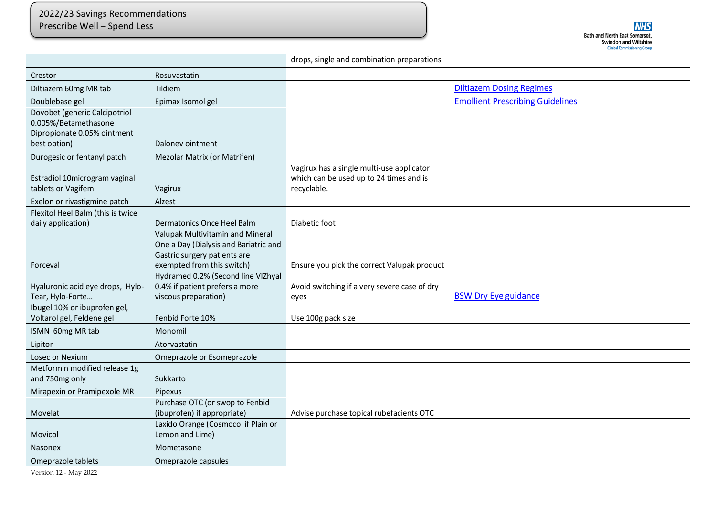## 2022/23 Savings Recommendations Prescribe Well – Spend Less

P

|                                                                                                      |                                                                                                                                         | drops, single and combination preparations                                                          |                                         |
|------------------------------------------------------------------------------------------------------|-----------------------------------------------------------------------------------------------------------------------------------------|-----------------------------------------------------------------------------------------------------|-----------------------------------------|
| Crestor                                                                                              | Rosuvastatin                                                                                                                            |                                                                                                     |                                         |
| Diltiazem 60mg MR tab                                                                                | Tildiem                                                                                                                                 |                                                                                                     | <b>Diltiazem Dosing Regimes</b>         |
| Doublebase gel                                                                                       | Epimax Isomol gel                                                                                                                       |                                                                                                     | <b>Emollient Prescribing Guidelines</b> |
| Dovobet (generic Calcipotriol<br>0.005%/Betamethasone<br>Dipropionate 0.05% ointment<br>best option) | Daloney ointment                                                                                                                        |                                                                                                     |                                         |
| Durogesic or fentanyl patch                                                                          | Mezolar Matrix (or Matrifen)                                                                                                            |                                                                                                     |                                         |
| Estradiol 10microgram vaginal<br>tablets or Vagifem                                                  | Vagirux                                                                                                                                 | Vagirux has a single multi-use applicator<br>which can be used up to 24 times and is<br>recyclable. |                                         |
| Exelon or rivastigmine patch                                                                         | Alzest                                                                                                                                  |                                                                                                     |                                         |
| Flexitol Heel Balm (this is twice<br>daily application)                                              | Dermatonics Once Heel Balm                                                                                                              | Diabetic foot                                                                                       |                                         |
|                                                                                                      | Valupak Multivitamin and Mineral<br>One a Day (Dialysis and Bariatric and<br>Gastric surgery patients are<br>exempted from this switch) |                                                                                                     |                                         |
| Forceval                                                                                             | Hydramed 0.2% (Second line VIZhyal                                                                                                      | Ensure you pick the correct Valupak product                                                         |                                         |
| Hyaluronic acid eye drops, Hylo-<br>Tear, Hylo-Forte                                                 | 0.4% if patient prefers a more<br>viscous preparation)                                                                                  | Avoid switching if a very severe case of dry<br>eyes                                                | <b>BSW Dry Eye guidance</b>             |
| Ibugel 10% or ibuprofen gel,<br>Voltarol gel, Feldene gel                                            | Fenbid Forte 10%                                                                                                                        | Use 100g pack size                                                                                  |                                         |
| ISMN 60mg MR tab                                                                                     | Monomil                                                                                                                                 |                                                                                                     |                                         |
| Lipitor                                                                                              | Atorvastatin                                                                                                                            |                                                                                                     |                                         |
| Losec or Nexium                                                                                      | Omeprazole or Esomeprazole                                                                                                              |                                                                                                     |                                         |
| Metformin modified release 1g<br>and 750mg only                                                      | Sukkarto                                                                                                                                |                                                                                                     |                                         |
| Mirapexin or Pramipexole MR                                                                          | <b>Pipexus</b>                                                                                                                          |                                                                                                     |                                         |
| Movelat                                                                                              | Purchase OTC (or swop to Fenbid<br>(ibuprofen) if appropriate)                                                                          | Advise purchase topical rubefacients OTC                                                            |                                         |
| Movicol                                                                                              | Laxido Orange (Cosmocol if Plain or<br>Lemon and Lime)                                                                                  |                                                                                                     |                                         |
| <b>Nasonex</b>                                                                                       | Mometasone                                                                                                                              |                                                                                                     |                                         |
| Omeprazole tablets                                                                                   | Omeprazole capsules                                                                                                                     |                                                                                                     |                                         |

Version 12 - May 2022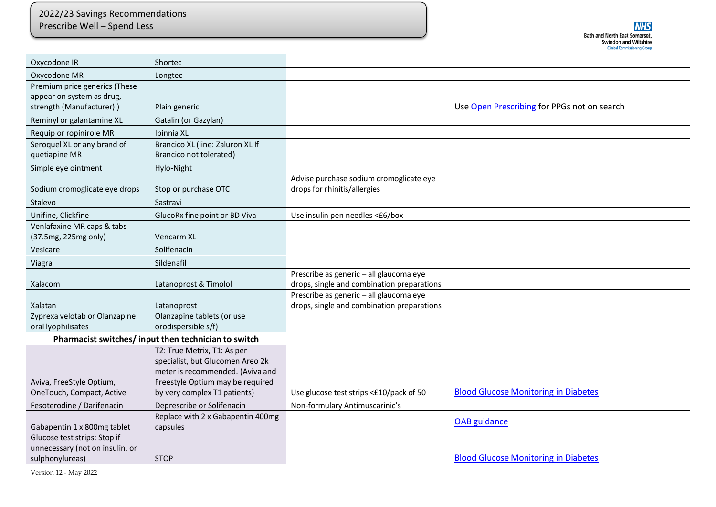## 2022/23 Savings Recommendations Prescribe Well – Spend Less

P

| Oxycodone IR                    | Shortec                                             |                                                                         |                                             |
|---------------------------------|-----------------------------------------------------|-------------------------------------------------------------------------|---------------------------------------------|
| Oxycodone MR                    | Longtec                                             |                                                                         |                                             |
| Premium price generics (These   |                                                     |                                                                         |                                             |
| appear on system as drug,       |                                                     |                                                                         |                                             |
| strength (Manufacturer))        | Plain generic                                       |                                                                         | Use Open Prescribing for PPGs not on search |
| Reminyl or galantamine XL       | Gatalin (or Gazylan)                                |                                                                         |                                             |
| Requip or ropinirole MR         | Ipinnia XL                                          |                                                                         |                                             |
| Seroquel XL or any brand of     | Brancico XL (line: Zaluron XL If                    |                                                                         |                                             |
| quetiapine MR                   | Brancico not tolerated)                             |                                                                         |                                             |
| Simple eye ointment             | Hylo-Night                                          |                                                                         |                                             |
| Sodium cromoglicate eye drops   | Stop or purchase OTC                                | Advise purchase sodium cromoglicate eye<br>drops for rhinitis/allergies |                                             |
| Stalevo                         | Sastravi                                            |                                                                         |                                             |
| Unifine, Clickfine              | GlucoRx fine point or BD Viva                       | Use insulin pen needles <£6/box                                         |                                             |
| Venlafaxine MR caps & tabs      |                                                     |                                                                         |                                             |
| (37.5mg, 225mg only)            | <b>Vencarm XL</b>                                   |                                                                         |                                             |
| Vesicare                        | Solifenacin                                         |                                                                         |                                             |
| Viagra                          | Sildenafil                                          |                                                                         |                                             |
|                                 |                                                     | Prescribe as generic - all glaucoma eye                                 |                                             |
| Xalacom                         | Latanoprost & Timolol                               | drops, single and combination preparations                              |                                             |
|                                 |                                                     | Prescribe as generic - all glaucoma eye                                 |                                             |
| Xalatan                         | Latanoprost                                         | drops, single and combination preparations                              |                                             |
| Zyprexa velotab or Olanzapine   | Olanzapine tablets (or use                          |                                                                         |                                             |
| oral lyophilisates              | orodispersible s/f)                                 |                                                                         |                                             |
|                                 | Pharmacist switches/input then technician to switch |                                                                         |                                             |
|                                 | T2: True Metrix, T1: As per                         |                                                                         |                                             |
|                                 | specialist, but Glucomen Areo 2k                    |                                                                         |                                             |
|                                 | meter is recommended. (Aviva and                    |                                                                         |                                             |
| Aviva, FreeStyle Optium,        | Freestyle Optium may be required                    |                                                                         |                                             |
| OneTouch, Compact, Active       | by very complex T1 patients)                        | Use glucose test strips <£10/pack of 50                                 | <b>Blood Glucose Monitoring in Diabetes</b> |
| Fesoterodine / Darifenacin      | Deprescribe or Solifenacin                          | Non-formulary Antimuscarinic's                                          |                                             |
|                                 | Replace with 2 x Gabapentin 400mg                   |                                                                         | <b>OAB</b> guidance                         |
| Gabapentin 1 x 800mg tablet     | capsules                                            |                                                                         |                                             |
| Glucose test strips: Stop if    |                                                     |                                                                         |                                             |
| unnecessary (not on insulin, or |                                                     |                                                                         |                                             |
| sulphonylureas)                 | <b>STOP</b>                                         |                                                                         | <b>Blood Glucose Monitoring in Diabetes</b> |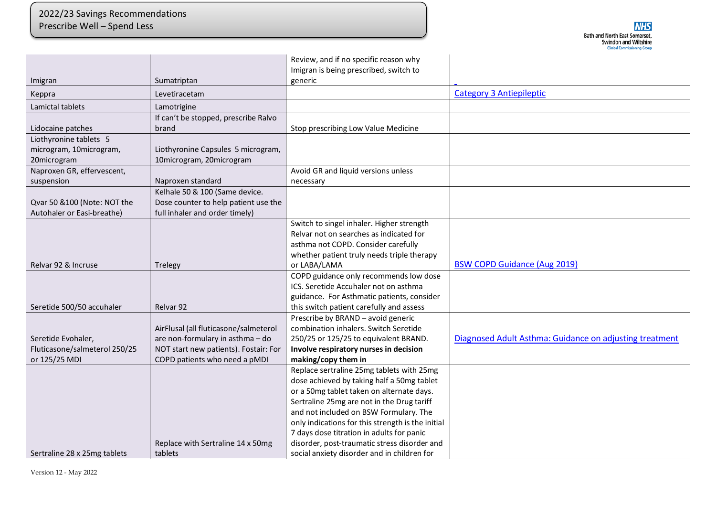P

|                               |                                       | Review, and if no specific reason why<br>Imigran is being prescribed, switch to             |                                                         |
|-------------------------------|---------------------------------------|---------------------------------------------------------------------------------------------|---------------------------------------------------------|
| Imigran                       | Sumatriptan                           | generic                                                                                     |                                                         |
| Keppra                        | Levetiracetam                         |                                                                                             | <b>Category 3 Antiepileptic</b>                         |
| Lamictal tablets              | Lamotrigine                           |                                                                                             |                                                         |
|                               | If can't be stopped, prescribe Ralvo  |                                                                                             |                                                         |
| Lidocaine patches             | brand                                 | Stop prescribing Low Value Medicine                                                         |                                                         |
| Liothyronine tablets 5        |                                       |                                                                                             |                                                         |
| microgram, 10microgram,       | Liothyronine Capsules 5 microgram,    |                                                                                             |                                                         |
| 20microgram                   | 10microgram, 20microgram              |                                                                                             |                                                         |
| Naproxen GR, effervescent,    |                                       | Avoid GR and liquid versions unless                                                         |                                                         |
| suspension                    | Naproxen standard                     | necessary                                                                                   |                                                         |
|                               | Kelhale 50 & 100 (Same device.        |                                                                                             |                                                         |
| Qvar 50 &100 (Note: NOT the   | Dose counter to help patient use the  |                                                                                             |                                                         |
| Autohaler or Easi-breathe)    | full inhaler and order timely)        |                                                                                             |                                                         |
|                               |                                       | Switch to singel inhaler. Higher strength                                                   |                                                         |
|                               |                                       | Relvar not on searches as indicated for                                                     |                                                         |
|                               |                                       | asthma not COPD. Consider carefully                                                         |                                                         |
|                               |                                       | whether patient truly needs triple therapy                                                  |                                                         |
| Relvar 92 & Incruse           | Trelegy                               | or LABA/LAMA                                                                                | <b>BSW COPD Guidance (Aug 2019)</b>                     |
|                               |                                       | COPD guidance only recommends low dose                                                      |                                                         |
|                               |                                       | ICS. Seretide Accuhaler not on asthma                                                       |                                                         |
|                               |                                       | guidance. For Asthmatic patients, consider                                                  |                                                         |
| Seretide 500/50 accuhaler     | Relvar 92                             | this switch patient carefully and assess                                                    |                                                         |
|                               |                                       | Prescribe by BRAND - avoid generic                                                          |                                                         |
|                               | AirFlusal (all fluticasone/salmeterol | combination inhalers. Switch Seretide                                                       |                                                         |
| Seretide Evohaler,            | are non-formulary in asthma - do      | 250/25 or 125/25 to equivalent BRAND.                                                       | Diagnosed Adult Asthma: Guidance on adjusting treatment |
| Fluticasone/salmeterol 250/25 | NOT start new patients). Fostair: For | Involve respiratory nurses in decision                                                      |                                                         |
| or 125/25 MDI                 | COPD patients who need a pMDI         | making/copy them in                                                                         |                                                         |
|                               |                                       | Replace sertraline 25mg tablets with 25mg                                                   |                                                         |
|                               |                                       | dose achieved by taking half a 50mg tablet                                                  |                                                         |
|                               |                                       | or a 50mg tablet taken on alternate days.                                                   |                                                         |
|                               |                                       | Sertraline 25mg are not in the Drug tariff                                                  |                                                         |
|                               |                                       | and not included on BSW Formulary. The<br>only indications for this strength is the initial |                                                         |
|                               |                                       | 7 days dose titration in adults for panic                                                   |                                                         |
|                               | Replace with Sertraline 14 x 50mg     | disorder, post-traumatic stress disorder and                                                |                                                         |
| Sertraline 28 x 25mg tablets  | tablets                               | social anxiety disorder and in children for                                                 |                                                         |
|                               |                                       |                                                                                             |                                                         |